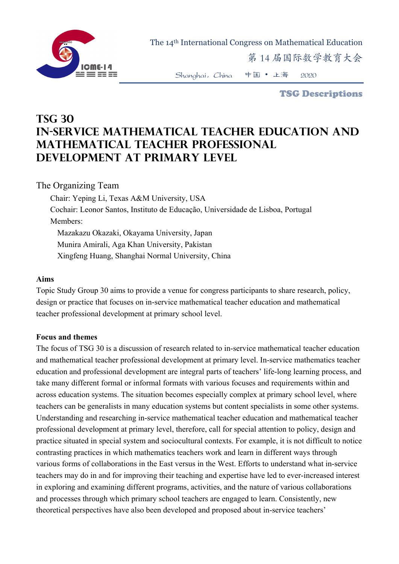

The 14th International Congress on Mathematical Education

第 14 届国际数学教育大会

Shanghai,China 中国 • 上海 2020

TSG Descriptions

# **TSG 30 In-service mathematical teacher education and mathematical teacher professional development at primary level**

## The Organizing Team

Chair: Yeping Li, Texas A&M University, USA Cochair: Leonor Santos, Instituto de Educação, Universidade de Lisboa, Portugal Members: Mazakazu Okazaki, Okayama University, Japan Munira Amirali, Aga Khan University, Pakistan Xingfeng Huang, Shanghai Normal University, China

### **Aims**

Topic Study Group 30 aims to provide a venue for congress participants to share research, policy, design or practice that focuses on in-service mathematical teacher education and mathematical teacher professional development at primary school level.

#### **Focus and themes**

The focus of TSG 30 is a discussion of research related to in-service mathematical teacher education and mathematical teacher professional development at primary level. In-service mathematics teacher education and professional development are integral parts of teachers' life-long learning process, and take many different formal or informal formats with various focuses and requirements within and across education systems. The situation becomes especially complex at primary school level, where teachers can be generalists in many education systems but content specialists in some other systems. Understanding and researching in-service mathematical teacher education and mathematical teacher professional development at primary level, therefore, call for special attention to policy, design and practice situated in special system and sociocultural contexts. For example, it is not difficult to notice contrasting practices in which mathematics teachers work and learn in different ways through various forms of collaborations in the East versus in the West. Efforts to understand what in-service teachers may do in and for improving their teaching and expertise have led to ever-increased interest in exploring and examining different programs, activities, and the nature of various collaborations and processes through which primary school teachers are engaged to learn. Consistently, new theoretical perspectives have also been developed and proposed about in-service teachers'